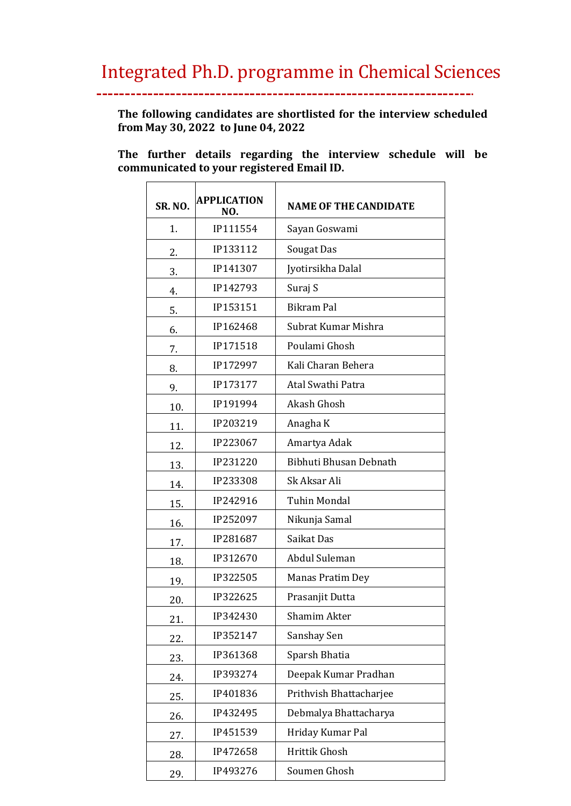## Integrated Ph.D. programme in Chemical Sciences

 $\overline{a}$ 

**The following candidates are shortlisted for the interview scheduled from May 30, 2022 to June 04, 2022**

**The further details regarding the interview schedule will be communicated to your registered Email ID.** 

| <b>SR. NO.</b> | <b>APPLICATION</b><br>NO. | <b>NAME OF THE CANDIDATE</b> |
|----------------|---------------------------|------------------------------|
| 1.             | IP111554                  | Sayan Goswami                |
| 2.             | IP133112                  | Sougat Das                   |
| 3.             | IP141307                  | Jyotirsikha Dalal            |
| 4.             | IP142793                  | Suraj S                      |
| 5.             | IP153151                  | <b>Bikram Pal</b>            |
| 6.             | IP162468                  | Subrat Kumar Mishra          |
| 7.             | IP171518                  | Poulami Ghosh                |
| 8.             | IP172997                  | Kali Charan Behera           |
| 9.             | IP173177                  | Atal Swathi Patra            |
| 10.            | IP191994                  | <b>Akash Ghosh</b>           |
| 11.            | IP203219                  | Anagha K                     |
| 12.            | IP223067                  | Amartya Adak                 |
| 13.            | IP231220                  | Bibhuti Bhusan Debnath       |
| 14.            | IP233308                  | Sk Aksar Ali                 |
| 15.            | IP242916                  | <b>Tuhin Mondal</b>          |
| 16.            | IP252097                  | Nikunja Samal                |
| 17.            | IP281687                  | Saikat Das                   |
| 18.            | IP312670                  | Abdul Suleman                |
| 19.            | IP322505                  | Manas Pratim Dey             |
| 20.            | IP322625                  | Prasanjit Dutta              |
| 21.            | IP342430                  | Shamim Akter                 |
| 22.            | IP352147                  | Sanshay Sen                  |
| 23.            | IP361368                  | Sparsh Bhatia                |
| 24.            | IP393274                  | Deepak Kumar Pradhan         |
| 25.            | IP401836                  | Prithvish Bhattacharjee      |
| 26.            | IP432495                  | Debmalya Bhattacharya        |
| 27.            | IP451539                  | Hriday Kumar Pal             |
| 28.            | IP472658                  | Hrittik Ghosh                |
| 29.            | IP493276                  | Soumen Ghosh                 |